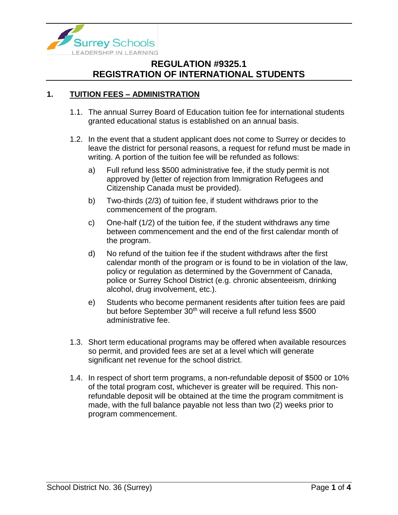

## **1. TUITION FEES – ADMINISTRATION**

- 1.1. The annual Surrey Board of Education tuition fee for international students granted educational status is established on an annual basis.
- 1.2. In the event that a student applicant does not come to Surrey or decides to leave the district for personal reasons, a request for refund must be made in writing. A portion of the tuition fee will be refunded as follows:
	- a) Full refund less \$500 administrative fee, if the study permit is not approved by (letter of rejection from Immigration Refugees and Citizenship Canada must be provided).
	- b) Two-thirds (2/3) of tuition fee, if student withdraws prior to the commencement of the program.
	- c) One-half (1/2) of the tuition fee, if the student withdraws any time between commencement and the end of the first calendar month of the program.
	- d) No refund of the tuition fee if the student withdraws after the first calendar month of the program or is found to be in violation of the law, policy or regulation as determined by the Government of Canada, police or Surrey School District (e.g. chronic absenteeism, drinking alcohol, drug involvement, etc.).
	- e) Students who become permanent residents after tuition fees are paid but before September 30<sup>th</sup> will receive a full refund less \$500 administrative fee.
- 1.3. Short term educational programs may be offered when available resources so permit, and provided fees are set at a level which will generate significant net revenue for the school district.
- 1.4. In respect of short term programs, a non-refundable deposit of \$500 or 10% of the total program cost, whichever is greater will be required. This nonrefundable deposit will be obtained at the time the program commitment is made, with the full balance payable not less than two (2) weeks prior to program commencement.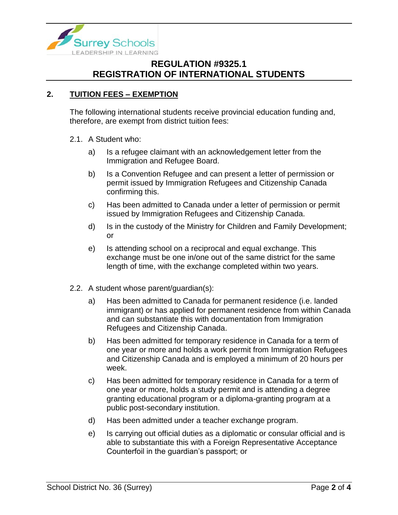

## **2. TUITION FEES – EXEMPTION**

The following international students receive provincial education funding and, therefore, are exempt from district tuition fees:

### 2.1. A Student who:

- a) Is a refugee claimant with an acknowledgement letter from the Immigration and Refugee Board.
- b) Is a Convention Refugee and can present a letter of permission or permit issued by Immigration Refugees and Citizenship Canada confirming this.
- c) Has been admitted to Canada under a letter of permission or permit issued by Immigration Refugees and Citizenship Canada.
- d) Is in the custody of the Ministry for Children and Family Development; or
- e) Is attending school on a reciprocal and equal exchange. This exchange must be one in/one out of the same district for the same length of time, with the exchange completed within two years.
- 2.2. A student whose parent/guardian(s):
	- a) Has been admitted to Canada for permanent residence (i.e. landed immigrant) or has applied for permanent residence from within Canada and can substantiate this with documentation from Immigration Refugees and Citizenship Canada.
	- b) Has been admitted for temporary residence in Canada for a term of one year or more and holds a work permit from Immigration Refugees and Citizenship Canada and is employed a minimum of 20 hours per week.
	- c) Has been admitted for temporary residence in Canada for a term of one year or more, holds a study permit and is attending a degree granting educational program or a diploma-granting program at a public post-secondary institution.
	- d) Has been admitted under a teacher exchange program.
	- e) Is carrying out official duties as a diplomatic or consular official and is able to substantiate this with a Foreign Representative Acceptance Counterfoil in the guardian's passport; or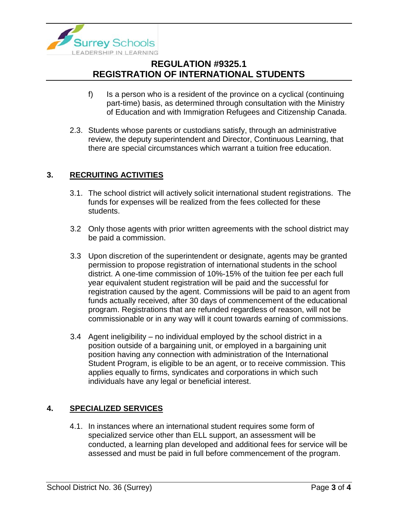

- f) Is a person who is a resident of the province on a cyclical (continuing part-time) basis, as determined through consultation with the Ministry of Education and with Immigration Refugees and Citizenship Canada.
- 2.3. Students whose parents or custodians satisfy, through an administrative review, the deputy superintendent and Director, Continuous Learning, that there are special circumstances which warrant a tuition free education.

### **3. RECRUITING ACTIVITIES**

- 3.1. The school district will actively solicit international student registrations. The funds for expenses will be realized from the fees collected for these students.
- 3.2 Only those agents with prior written agreements with the school district may be paid a commission.
- 3.3 Upon discretion of the superintendent or designate, agents may be granted permission to propose registration of international students in the school district. A one-time commission of 10%-15% of the tuition fee per each full year equivalent student registration will be paid and the successful for registration caused by the agent. Commissions will be paid to an agent from funds actually received, after 30 days of commencement of the educational program. Registrations that are refunded regardless of reason, will not be commissionable or in any way will it count towards earning of commissions.
- 3.4 Agent ineligibility no individual employed by the school district in a position outside of a bargaining unit, or employed in a bargaining unit position having any connection with administration of the International Student Program, is eligible to be an agent, or to receive commission. This applies equally to firms, syndicates and corporations in which such individuals have any legal or beneficial interest.

## **4. SPECIALIZED SERVICES**

4.1. In instances where an international student requires some form of specialized service other than ELL support, an assessment will be conducted, a learning plan developed and additional fees for service will be assessed and must be paid in full before commencement of the program.